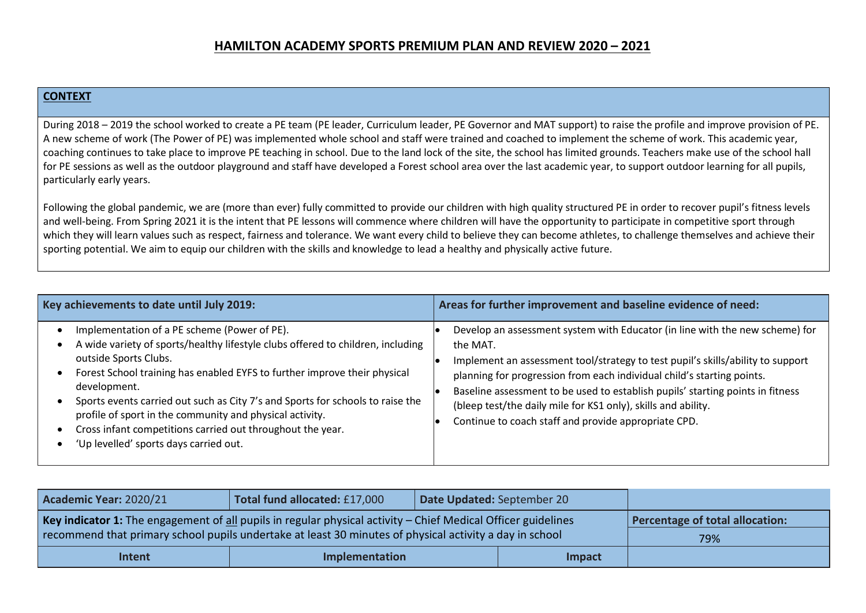## **HAMILTON ACADEMY SPORTS PREMIUM PLAN AND REVIEW 2020 – 2021**

## **CONTEXT**

During 2018 – 2019 the school worked to create a PE team (PE leader, Curriculum leader, PE Governor and MAT support) to raise the profile and improve provision of PE. A new scheme of work (The Power of PE) was implemented whole school and staff were trained and coached to implement the scheme of work. This academic year, coaching continues to take place to improve PE teaching in school. Due to the land lock of the site, the school has limited grounds. Teachers make use of the school hall for PE sessions as well as the outdoor playground and staff have developed a Forest school area over the last academic year, to support outdoor learning for all pupils, particularly early years.

Following the global pandemic, we are (more than ever) fully committed to provide our children with high quality structured PE in order to recover pupil's fitness levels and well-being. From Spring 2021 it is the intent that PE lessons will commence where children will have the opportunity to participate in competitive sport through which they will learn values such as respect, fairness and tolerance. We want every child to believe they can become athletes, to challenge themselves and achieve their sporting potential. We aim to equip our children with the skills and knowledge to lead a healthy and physically active future.

| Key achievements to date until July 2019:                                                                                                                                                                                                                                                                                                                                                                                                                                                                   | Areas for further improvement and baseline evidence of need:                                                                                                                                                                                                                                                                                                                                                                                                     |  |  |  |  |  |
|-------------------------------------------------------------------------------------------------------------------------------------------------------------------------------------------------------------------------------------------------------------------------------------------------------------------------------------------------------------------------------------------------------------------------------------------------------------------------------------------------------------|------------------------------------------------------------------------------------------------------------------------------------------------------------------------------------------------------------------------------------------------------------------------------------------------------------------------------------------------------------------------------------------------------------------------------------------------------------------|--|--|--|--|--|
| Implementation of a PE scheme (Power of PE).<br>A wide variety of sports/healthy lifestyle clubs offered to children, including<br>outside Sports Clubs.<br>Forest School training has enabled EYFS to further improve their physical<br>development.<br>Sports events carried out such as City 7's and Sports for schools to raise the<br>profile of sport in the community and physical activity.<br>Cross infant competitions carried out throughout the year.<br>'Up levelled' sports days carried out. | Develop an assessment system with Educator (in line with the new scheme) for<br>the MAT.<br>Implement an assessment tool/strategy to test pupil's skills/ability to support<br>planning for progression from each individual child's starting points.<br>Baseline assessment to be used to establish pupils' starting points in fitness<br>(bleep test/the daily mile for KS1 only), skills and ability.<br>Continue to coach staff and provide appropriate CPD. |  |  |  |  |  |

| Academic Year: 2020/21                                                                                        | Total fund allocated: £17,000   | Date Updated: September 20 |  |     |
|---------------------------------------------------------------------------------------------------------------|---------------------------------|----------------------------|--|-----|
| Key indicator 1: The engagement of all pupils in regular physical activity - Chief Medical Officer guidelines | Percentage of total allocation: |                            |  |     |
| recommend that primary school pupils undertake at least 30 minutes of physical activity a day in school       |                                 |                            |  | 79% |
| Intent                                                                                                        | Implementation                  | Impact                     |  |     |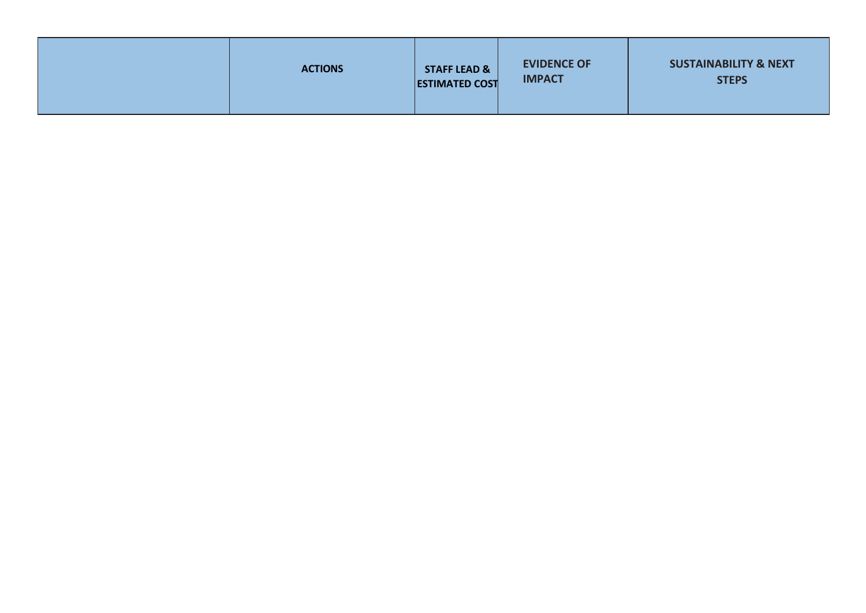|  | <b>ACTIONS</b> | <b>STAFF LEAD &amp;</b><br><b>ESTIMATED COST</b> | <b>EVIDENCE OF</b><br><b>IMPACT</b> | <b>SUSTAINABILITY &amp; NEXT</b><br><b>STEPS</b> |
|--|----------------|--------------------------------------------------|-------------------------------------|--------------------------------------------------|
|--|----------------|--------------------------------------------------|-------------------------------------|--------------------------------------------------|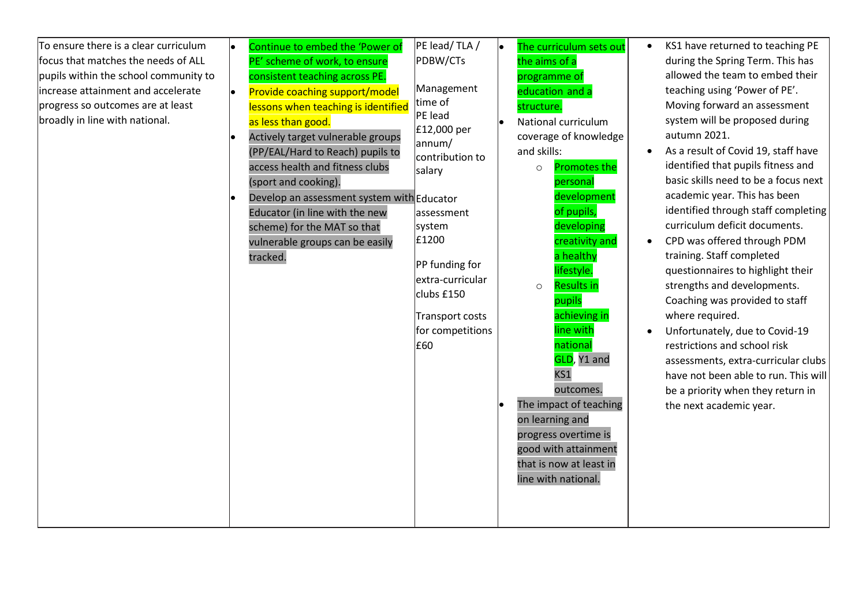| To ensure there is a clear curriculum | Continue to embed the 'Power of            | PE lead/TLA/          | le. | The curriculum sets out                 | $\bullet$ | KS1 have returned to teaching PE     |
|---------------------------------------|--------------------------------------------|-----------------------|-----|-----------------------------------------|-----------|--------------------------------------|
| focus that matches the needs of ALL   | PE' scheme of work, to ensure              | PDBW/CTs              |     | the aims of a                           |           | during the Spring Term. This has     |
| pupils within the school community to | consistent teaching across PE.             |                       |     | programme of                            |           | allowed the team to embed their      |
| increase attainment and accelerate    | Provide coaching support/model             | Management            |     | education and a                         |           | teaching using 'Power of PE'.        |
| progress so outcomes are at least     | lessons when teaching is identified        | time of               |     | structure.                              |           | Moving forward an assessment         |
| broadly in line with national.        | as less than good.                         | PE lead               |     | National curriculum                     |           | system will be proposed during       |
|                                       | Actively target vulnerable groups          | £12,000 per<br>annum/ |     | coverage of knowledge                   |           | autumn 2021.                         |
|                                       | (PP/EAL/Hard to Reach) pupils to           | contribution to       |     | and skills:                             |           | As a result of Covid 19, staff have  |
|                                       | access health and fitness clubs            | salary                |     | <b>Promotes the</b><br>$\circ$          |           | identified that pupils fitness and   |
|                                       | (sport and cooking).                       |                       |     | personal                                |           | basic skills need to be a focus next |
|                                       | Develop an assessment system with Educator |                       |     | development                             |           | academic year. This has been         |
|                                       | Educator (in line with the new             | assessment            |     | of pupils,                              |           | identified through staff completing  |
|                                       | scheme) for the MAT so that                | system                |     | developing                              |           | curriculum deficit documents.        |
|                                       | vulnerable groups can be easily            | £1200                 |     | creativity and                          |           | CPD was offered through PDM          |
|                                       | tracked.                                   | PP funding for        |     | a healthy                               |           | training. Staff completed            |
|                                       |                                            | extra-curricular      |     | lifestyle.                              |           | questionnaires to highlight their    |
|                                       |                                            | clubs £150            |     | <b>Results in</b><br>$\circ$            |           | strengths and developments.          |
|                                       |                                            |                       |     | pupils                                  |           | Coaching was provided to staff       |
|                                       |                                            | Transport costs       |     | achieving in                            |           | where required.                      |
|                                       |                                            | for competitions      |     | line with                               |           | Unfortunately, due to Covid-19       |
|                                       |                                            | £60                   |     | national                                |           | restrictions and school risk         |
|                                       |                                            |                       |     | GLD, Y1 and                             |           | assessments, extra-curricular clubs  |
|                                       |                                            |                       |     | KS1                                     |           | have not been able to run. This will |
|                                       |                                            |                       |     | outcomes.<br>The impact of teaching     |           | be a priority when they return in    |
|                                       |                                            |                       |     |                                         |           | the next academic year.              |
|                                       |                                            |                       |     | on learning and<br>progress overtime is |           |                                      |
|                                       |                                            |                       |     | good with attainment                    |           |                                      |
|                                       |                                            |                       |     | that is now at least in                 |           |                                      |
|                                       |                                            |                       |     | line with national.                     |           |                                      |
|                                       |                                            |                       |     |                                         |           |                                      |
|                                       |                                            |                       |     |                                         |           |                                      |
|                                       |                                            |                       |     |                                         |           |                                      |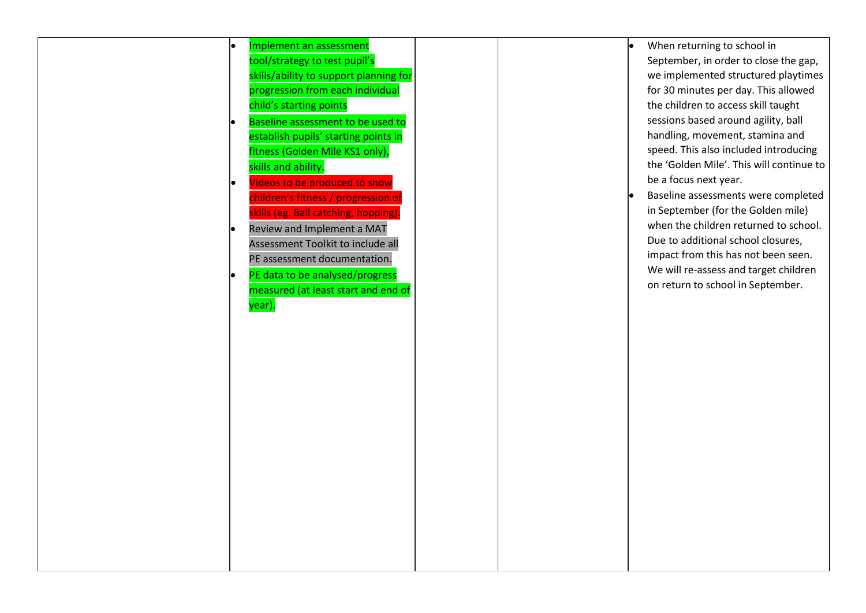|           | Implement an assessment                |  | When returning to school in              |
|-----------|----------------------------------------|--|------------------------------------------|
|           | tool/strategy to test pupil's          |  | September, in order to close the gap,    |
|           | skills/ability to support planning for |  | we implemented structured playtimes      |
|           | progression from each individual       |  | for 30 minutes per day. This allowed     |
|           | child's starting points                |  | the children to access skill taught      |
|           | Baseline assessment to be used to      |  | sessions based around agility, ball      |
|           | establish pupils' starting points in   |  | handling, movement, stamina and          |
|           | fitness (Golden Mile KS1 only),        |  | speed. This also included introducing    |
|           | skills and ability.                    |  | the 'Golden Mile'. This will continue to |
| $\bullet$ | Videos to be produced to show          |  | be a focus next year.                    |
|           | children's fitness / progression of    |  | Baseline assessments were completed      |
|           | skills (eg. Ball catching, hopping).   |  | in September (for the Golden mile)       |
|           | Review and Implement a MAT             |  | when the children returned to school.    |
|           | Assessment Toolkit to include all      |  | Due to additional school closures,       |
|           | PE assessment documentation.           |  | impact from this has not been seen.      |
| le.       | PE data to be analysed/progress        |  | We will re-assess and target children    |
|           | measured (at least start and end of    |  | on return to school in September.        |
|           | year).                                 |  |                                          |
|           |                                        |  |                                          |
|           |                                        |  |                                          |
|           |                                        |  |                                          |
|           |                                        |  |                                          |
|           |                                        |  |                                          |
|           |                                        |  |                                          |
|           |                                        |  |                                          |
|           |                                        |  |                                          |
|           |                                        |  |                                          |
|           |                                        |  |                                          |
|           |                                        |  |                                          |
|           |                                        |  |                                          |
|           |                                        |  |                                          |
|           |                                        |  |                                          |
|           |                                        |  |                                          |
|           |                                        |  |                                          |
|           |                                        |  |                                          |
|           |                                        |  |                                          |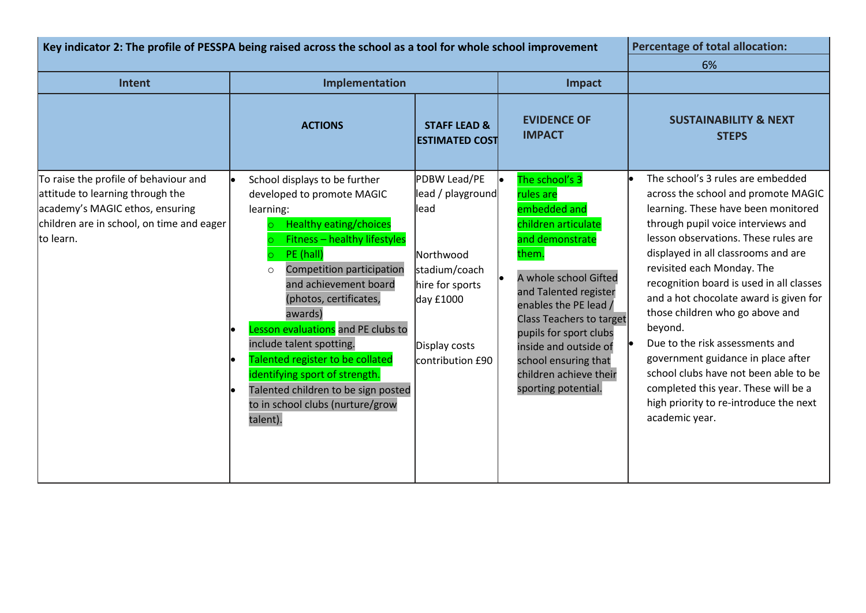| Key indicator 2: The profile of PESSPA being raised across the school as a tool for whole school improvement                                                           |                                                                                                                                                                                                                                                                                                                                                                                                                                                                                                                 |                                                                                                                                               | <b>Percentage of total allocation:</b><br>6%                                                                                                                                                                                                                                                                                             |                                                                                                                                                                                                                                                                                                                                                                                                                                                                                                                                                                                                                              |
|------------------------------------------------------------------------------------------------------------------------------------------------------------------------|-----------------------------------------------------------------------------------------------------------------------------------------------------------------------------------------------------------------------------------------------------------------------------------------------------------------------------------------------------------------------------------------------------------------------------------------------------------------------------------------------------------------|-----------------------------------------------------------------------------------------------------------------------------------------------|------------------------------------------------------------------------------------------------------------------------------------------------------------------------------------------------------------------------------------------------------------------------------------------------------------------------------------------|------------------------------------------------------------------------------------------------------------------------------------------------------------------------------------------------------------------------------------------------------------------------------------------------------------------------------------------------------------------------------------------------------------------------------------------------------------------------------------------------------------------------------------------------------------------------------------------------------------------------------|
| Intent                                                                                                                                                                 | Implementation                                                                                                                                                                                                                                                                                                                                                                                                                                                                                                  |                                                                                                                                               | Impact                                                                                                                                                                                                                                                                                                                                   |                                                                                                                                                                                                                                                                                                                                                                                                                                                                                                                                                                                                                              |
|                                                                                                                                                                        | <b>ACTIONS</b>                                                                                                                                                                                                                                                                                                                                                                                                                                                                                                  | <b>STAFF LEAD &amp;</b><br><b>ESTIMATED COST</b>                                                                                              | <b>EVIDENCE OF</b><br><b>IMPACT</b>                                                                                                                                                                                                                                                                                                      | <b>SUSTAINABILITY &amp; NEXT</b><br><b>STEPS</b>                                                                                                                                                                                                                                                                                                                                                                                                                                                                                                                                                                             |
| To raise the profile of behaviour and<br>attitude to learning through the<br>academy's MAGIC ethos, ensuring<br>children are in school, on time and eager<br>to learn. | School displays to be further<br>le.<br>developed to promote MAGIC<br>learning:<br><b>Healthy eating/choices</b><br><b>Fitness - healthy lifestyles</b><br>PE (hall)<br>Competition participation<br>$\circ$<br>and achievement board<br>(photos, certificates,<br>awards)<br>Lesson evaluations and PE clubs to<br>include talent spotting.<br>Talented register to be collated<br>identifying sport of strength.<br>Talented children to be sign posted<br>le<br>to in school clubs (nurture/grow<br>talent). | PDBW Lead/PE<br>lead / playground<br>llead<br>Northwood<br>stadium/coach<br>hire for sports<br>day £1000<br>Display costs<br>contribution £90 | The school's 3<br>rules are<br>embedded and<br>children articulate<br>and demonstrate<br>them.<br>A whole school Gifted<br>and Talented register<br>enables the PE lead /<br><b>Class Teachers to target</b><br>pupils for sport clubs<br>inside and outside of<br>school ensuring that<br>children achieve their<br>sporting potential. | The school's 3 rules are embedded<br>across the school and promote MAGIC<br>learning. These have been monitored<br>through pupil voice interviews and<br>lesson observations. These rules are<br>displayed in all classrooms and are<br>revisited each Monday. The<br>recognition board is used in all classes<br>and a hot chocolate award is given for<br>those children who go above and<br>beyond.<br>Due to the risk assessments and<br>government guidance in place after<br>school clubs have not been able to be<br>completed this year. These will be a<br>high priority to re-introduce the next<br>academic year. |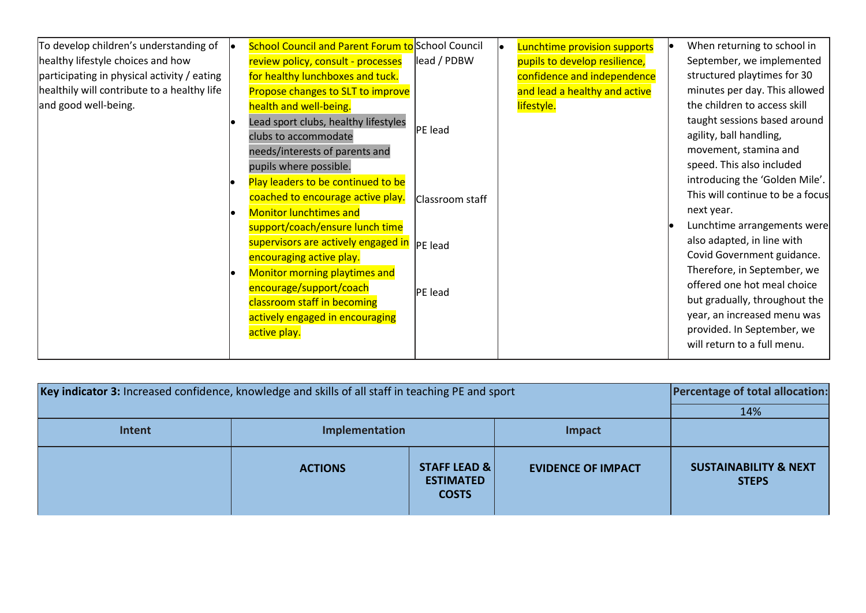| To develop children's understanding of      | <b>School Council and Parent Forum to School Council</b> |                 | Lunchtime provision supports  | When returning to school in      |
|---------------------------------------------|----------------------------------------------------------|-----------------|-------------------------------|----------------------------------|
| healthy lifestyle choices and how           | review policy, consult - processes                       | lead / PDBW     | pupils to develop resilience, | September, we implemented        |
| participating in physical activity / eating | for healthy lunchboxes and tuck.                         |                 | confidence and independence   | structured playtimes for 30      |
| healthily will contribute to a healthy life | Propose changes to SLT to improve                        |                 | and lead a healthy and active | minutes per day. This allowed    |
| and good well-being.                        | health and well-being.                                   |                 | lifestyle.                    | the children to access skill     |
|                                             | Lead sport clubs, healthy lifestyles                     |                 |                               | taught sessions based around     |
|                                             | clubs to accommodate                                     | PE lead         |                               | agility, ball handling,          |
|                                             | needs/interests of parents and                           |                 |                               | movement, stamina and            |
|                                             | pupils where possible.                                   |                 |                               | speed. This also included        |
|                                             | Play leaders to be continued to be                       |                 |                               | introducing the 'Golden Mile'.   |
|                                             | coached to encourage active play.                        | Classroom staff |                               | This will continue to be a focus |
|                                             | <b>Monitor lunchtimes and</b>                            |                 |                               | next year.                       |
|                                             | support/coach/ensure lunch time                          |                 |                               | Lunchtime arrangements were      |
|                                             | supervisors are actively engaged in                      | <b>PE</b> lead  |                               | also adapted, in line with       |
|                                             | encouraging active play.                                 |                 |                               | Covid Government guidance.       |
|                                             | Monitor morning playtimes and                            |                 |                               | Therefore, in September, we      |
|                                             | encourage/support/coach                                  | PE lead         |                               | offered one hot meal choice      |
|                                             | classroom staff in becoming                              |                 |                               | but gradually, throughout the    |
|                                             | actively engaged in encouraging                          |                 |                               | year, an increased menu was      |
|                                             | active play.                                             |                 |                               | provided. In September, we       |
|                                             |                                                          |                 |                               | will return to a full menu.      |

| Key indicator 3: Increased confidence, knowledge and skills of all staff in teaching PE and sport | <b>Percentage of total allocation:</b> |                                                  |                           |                                                  |
|---------------------------------------------------------------------------------------------------|----------------------------------------|--------------------------------------------------|---------------------------|--------------------------------------------------|
|                                                                                                   |                                        |                                                  |                           | 14%                                              |
| Intent                                                                                            | Implementation                         |                                                  |                           |                                                  |
|                                                                                                   | <b>ACTIONS</b>                         | STAFF LEAD &<br><b>ESTIMATED</b><br><b>COSTS</b> | <b>EVIDENCE OF IMPACT</b> | <b>SUSTAINABILITY &amp; NEXT</b><br><b>STEPS</b> |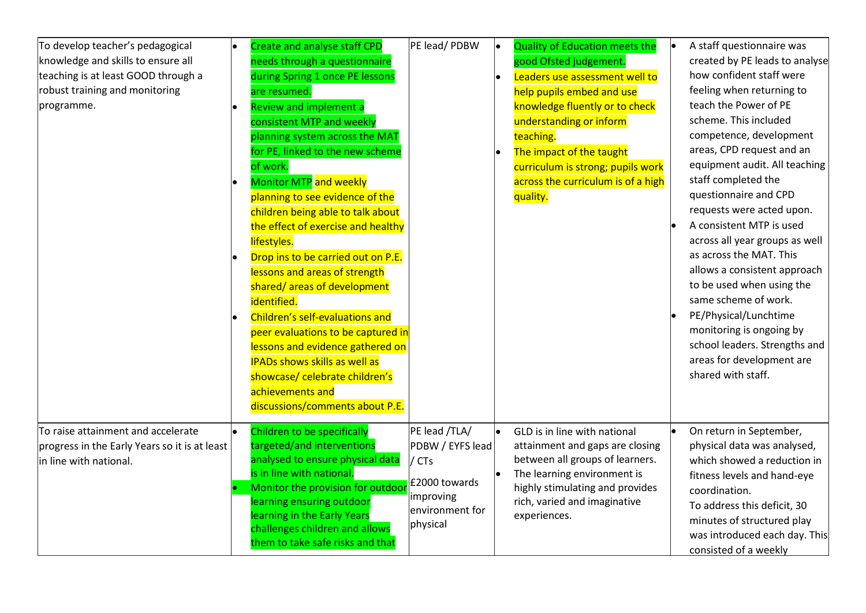| To develop teacher's pedagogical<br>knowledge and skills to ensure all<br>teaching is at least GOOD through a<br>robust training and monitoring<br>programme. | Create and analyse staff CPD<br>needs through a questionnaire<br>during Spring 1 once PE lessons<br>are resumed.<br><b>Review and implement a</b><br>consistent MTP and weekly<br>planning system across the MAT<br>for PE, linked to the new scheme<br>of work.<br><b>Monitor MTP</b> and weekly<br>planning to see evidence of the<br>children being able to talk about<br>the effect of exercise and healthy<br>lifestyles.<br>Drop ins to be carried out on P.E.<br>lessons and areas of strength<br>shared/areas of development<br>identified.<br>Children's self-evaluations and<br>peer evaluations to be captured in<br>lessons and evidence gathered on<br><b>IPADs shows skills as well as</b><br>showcase/ celebrate children's<br>achievements and<br>discussions/comments about P.E. | PE lead/PDBW                                                                                            | <b>Quality of Education meets the</b><br>le<br>good Ofsted judgement.<br>Leaders use assessment well to<br>help pupils embed and use<br>knowledge fluently or to check<br>understanding or inform<br>teaching.<br>The impact of the taught<br>curriculum is strong; pupils work<br>across the curriculum is of a high<br>quality. | A staff questionnaire was<br>created by PE leads to analyse<br>how confident staff were<br>feeling when returning to<br>teach the Power of PE<br>scheme. This included<br>competence, development<br>areas, CPD request and an<br>equipment audit. All teaching<br>staff completed the<br>questionnaire and CPD<br>requests were acted upon.<br>A consistent MTP is used<br>across all year groups as well<br>as across the MAT. This<br>allows a consistent approach<br>to be used when using the<br>same scheme of work.<br>PE/Physical/Lunchtime<br>monitoring is ongoing by<br>school leaders. Strengths and<br>areas for development are<br>shared with staff. |
|---------------------------------------------------------------------------------------------------------------------------------------------------------------|---------------------------------------------------------------------------------------------------------------------------------------------------------------------------------------------------------------------------------------------------------------------------------------------------------------------------------------------------------------------------------------------------------------------------------------------------------------------------------------------------------------------------------------------------------------------------------------------------------------------------------------------------------------------------------------------------------------------------------------------------------------------------------------------------|---------------------------------------------------------------------------------------------------------|-----------------------------------------------------------------------------------------------------------------------------------------------------------------------------------------------------------------------------------------------------------------------------------------------------------------------------------|---------------------------------------------------------------------------------------------------------------------------------------------------------------------------------------------------------------------------------------------------------------------------------------------------------------------------------------------------------------------------------------------------------------------------------------------------------------------------------------------------------------------------------------------------------------------------------------------------------------------------------------------------------------------|
| To raise attainment and accelerate<br>progress in the Early Years so it is at least<br>in line with national.                                                 | Children to be specifically<br>targeted/and interventions<br>analysed to ensure physical data<br>is in line with national.<br>Monitor the provision for outdoor<br>learning ensuring outdoor<br>learning in the Early Years<br>challenges children and allows<br>them to take safe risks and that                                                                                                                                                                                                                                                                                                                                                                                                                                                                                                 | PE lead /TLA/<br>PDBW / EYFS lead<br>/ CTs<br>£2000 towards<br>improving<br>environment for<br>physical | GLD is in line with national<br>attainment and gaps are closing<br>between all groups of learners.<br>The learning environment is<br>highly stimulating and provides<br>rich, varied and imaginative<br>experiences.                                                                                                              | On return in September,<br>physical data was analysed,<br>which showed a reduction in<br>fitness levels and hand-eye<br>coordination.<br>To address this deficit, 30<br>minutes of structured play<br>was introduced each day. This<br>consisted of a weekly                                                                                                                                                                                                                                                                                                                                                                                                        |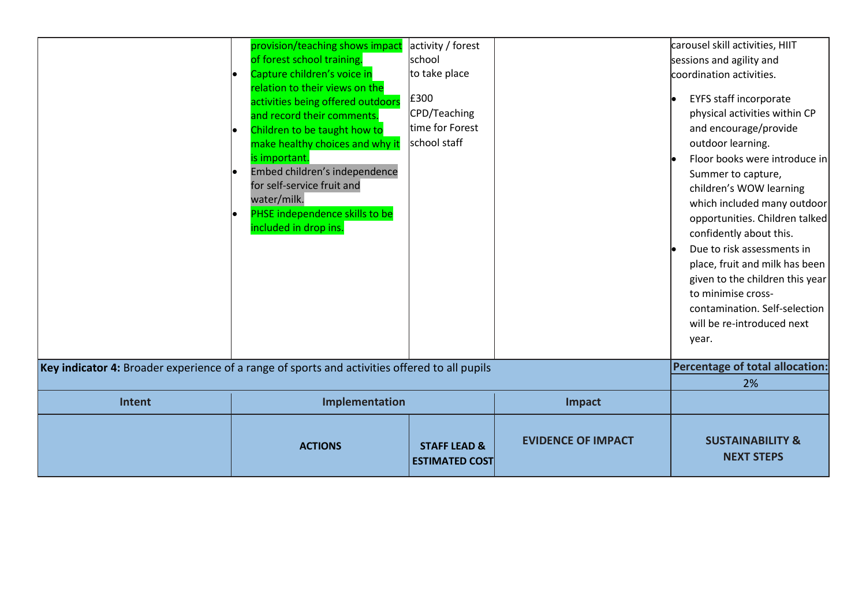| Key indicator 4: Broader experience of a range of sports and activities offered to all pupils | activities being offered outdoors<br>and record their comments.<br>Children to be taught how to<br>make healthy choices and why it<br>is important.<br>Embed children's independence<br>for self-service fruit and<br>water/milk.<br>PHSE independence skills to be<br>included in drop ins. | £300<br>CPD/Teaching<br>time for Forest<br>school staff |                           | <b>EYFS staff incorporate</b><br>physical activities within CP<br>and encourage/provide<br>outdoor learning.<br>Floor books were introduce in<br>Summer to capture,<br>children's WOW learning<br>which included many outdoor<br>opportunities. Children talked<br>confidently about this.<br>Due to risk assessments in<br>place, fruit and milk has been<br>given to the children this year<br>to minimise cross-<br>contamination. Self-selection<br>will be re-introduced next<br>year.<br><b>Percentage of total allocation:</b><br>2% |
|-----------------------------------------------------------------------------------------------|----------------------------------------------------------------------------------------------------------------------------------------------------------------------------------------------------------------------------------------------------------------------------------------------|---------------------------------------------------------|---------------------------|---------------------------------------------------------------------------------------------------------------------------------------------------------------------------------------------------------------------------------------------------------------------------------------------------------------------------------------------------------------------------------------------------------------------------------------------------------------------------------------------------------------------------------------------|
| Intent                                                                                        | Implementation                                                                                                                                                                                                                                                                               |                                                         | Impact                    |                                                                                                                                                                                                                                                                                                                                                                                                                                                                                                                                             |
|                                                                                               | <b>ACTIONS</b>                                                                                                                                                                                                                                                                               | <b>STAFF LEAD &amp;</b><br><b>ESTIMATED COST</b>        | <b>EVIDENCE OF IMPACT</b> | <b>SUSTAINABILITY &amp;</b><br><b>NEXT STEPS</b>                                                                                                                                                                                                                                                                                                                                                                                                                                                                                            |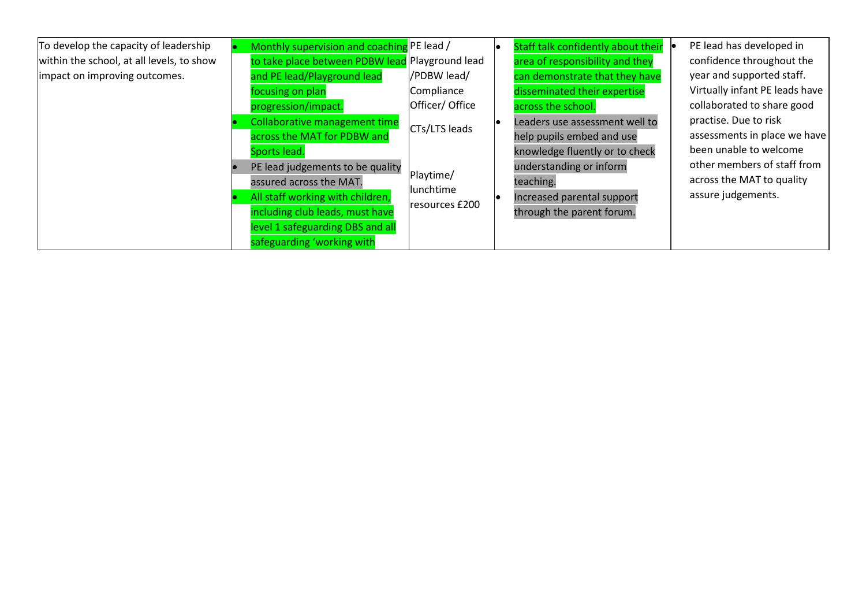| To develop the capacity of leadership     |                                  | Monthly supervision and coaching PE lead /      |                            | Staff talk confidently about their | PE lead has developed in       |
|-------------------------------------------|----------------------------------|-------------------------------------------------|----------------------------|------------------------------------|--------------------------------|
| within the school, at all levels, to show |                                  | to take place between PDBW lead Playground lead |                            | area of responsibility and they    | confidence throughout the      |
| limpact on improving outcomes.            |                                  | and PE lead/Playground lead                     | /PDBW lead/                | can demonstrate that they have     | year and supported staff.      |
|                                           |                                  | focusing on plan                                | Compliance                 | disseminated their expertise       | Virtually infant PE leads have |
|                                           |                                  | progression/impact.                             | Officer/ Office            | across the school.                 | collaborated to share good     |
|                                           |                                  | Collaborative management time                   |                            | Leaders use assessment well to     | practise. Due to risk          |
|                                           |                                  | across the MAT for PDBW and                     | CTs/LTS leads              | help pupils embed and use          | assessments in place we have   |
|                                           |                                  | Sports lead.                                    |                            | knowledge fluently or to check     | been unable to welcome         |
|                                           |                                  | PE lead judgements to be quality                |                            | understanding or inform            | other members of staff from    |
|                                           |                                  | assured across the MAT.                         | Playtime/                  | teaching.                          | across the MAT to quality      |
|                                           | All staff working with children, | lunchtime                                       | Increased parental support | assure judgements.                 |                                |
|                                           |                                  | including club leads, must have                 | resources £200             | through the parent forum.          |                                |
|                                           |                                  | level 1 safeguarding DBS and all                |                            |                                    |                                |
|                                           |                                  | safeguarding 'working with                      |                            |                                    |                                |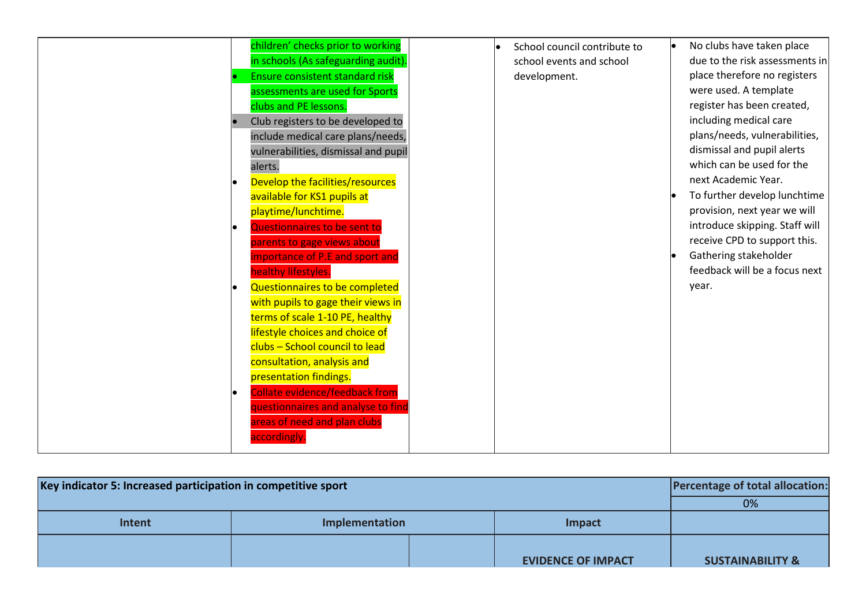|    | children' checks prior to working      |  | School council contribute to | No clubs have taken place      |
|----|----------------------------------------|--|------------------------------|--------------------------------|
|    | in schools (As safeguarding audit).    |  | school events and school     | due to the risk assessments in |
|    | <b>Ensure consistent standard risk</b> |  | development.                 | place therefore no registers   |
|    | assessments are used for Sports        |  |                              | were used. A template          |
|    |                                        |  |                              | register has been created,     |
|    | clubs and PE lessons.                  |  |                              |                                |
|    | Club registers to be developed to      |  |                              | including medical care         |
|    | include medical care plans/needs,      |  |                              | plans/needs, vulnerabilities,  |
|    | vulnerabilities, dismissal and pupil   |  |                              | dismissal and pupil alerts     |
|    | alerts.                                |  |                              | which can be used for the      |
|    | Develop the facilities/resources       |  |                              | next Academic Year.            |
|    | available for KS1 pupils at            |  |                              | To further develop lunchtime   |
|    | playtime/lunchtime.                    |  |                              | provision, next year we will   |
|    | Questionnaires to be sent to           |  |                              | introduce skipping. Staff will |
|    | parents to gage views about            |  |                              | receive CPD to support this.   |
|    | importance of P.E and sport and        |  |                              | Gathering stakeholder          |
|    | healthy lifestyles.                    |  |                              | feedback will be a focus next  |
|    | Questionnaires to be completed         |  |                              | year.                          |
|    | with pupils to gage their views in     |  |                              |                                |
|    | terms of scale 1-10 PE, healthy        |  |                              |                                |
|    | lifestyle choices and choice of        |  |                              |                                |
|    | clubs - School council to lead         |  |                              |                                |
|    | consultation, analysis and             |  |                              |                                |
|    | presentation findings.                 |  |                              |                                |
| le | <b>Collate evidence/feedback from</b>  |  |                              |                                |
|    | questionnaires and analyse to find     |  |                              |                                |
|    | areas of need and plan clubs           |  |                              |                                |
|    | accordingly                            |  |                              |                                |
|    |                                        |  |                              |                                |

| Key indicator 5: Increased participation in competitive sport | <b>Percentage of total allocation:</b> |                           |                             |
|---------------------------------------------------------------|----------------------------------------|---------------------------|-----------------------------|
|                                                               |                                        |                           | 0%                          |
| Intent                                                        | Implementation                         | Impact                    |                             |
|                                                               |                                        | <b>EVIDENCE OF IMPACT</b> | <b>SUSTAINABILITY &amp;</b> |